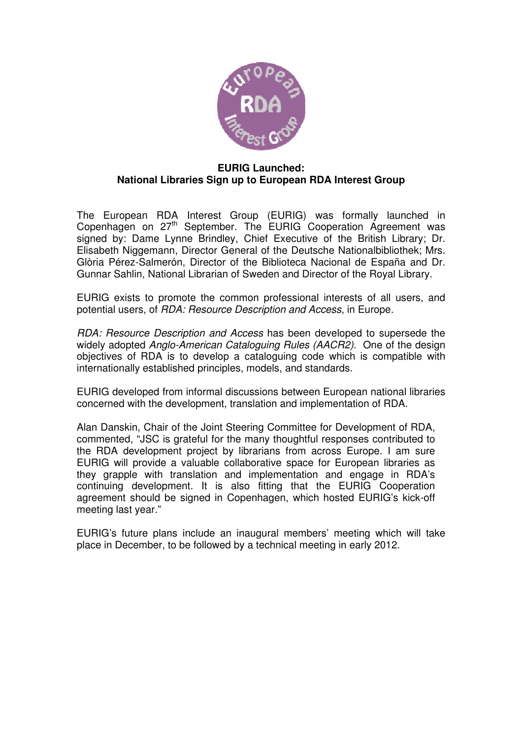

### **EURIG Launched: National Libraries Sign up to European RDA Interest Group**

The European RDA Interest Group (EURIG) was formally launched in Copenhagen on 27<sup>th</sup> September. The EURIG Cooperation Agreement was signed by: Dame Lynne Brindley, Chief Executive of the British Library; Dr. Elisabeth Niggemann, Director General of the Deutsche Nationalbibliothek; Mrs. Glòria Pérez-Salmerón, Director of the Biblioteca Nacional de España and Dr. Gunnar Sahlin, National Librarian of Sweden and Director of the Royal Library.

EURIG exists to promote the common professional interests of all users, and potential users, of RDA: Resource Description and Access, in Europe.

RDA: Resource Description and Access has been developed to supersede the widely adopted Anglo-American Cataloguing Rules (AACR2). One of the design objectives of RDA is to develop a cataloguing code which is compatible with internationally established principles, models, and standards.

EURIG developed from informal discussions between European national libraries concerned with the development, translation and implementation of RDA.

Alan Danskin, Chair of the Joint Steering Committee for Development of RDA, commented, "JSC is grateful for the many thoughtful responses contributed to the RDA development project by librarians from across Europe. I am sure EURIG will provide a valuable collaborative space for European libraries as they grapple with translation and implementation and engage in RDA's continuing development. It is also fitting that the EURIG Cooperation agreement should be signed in Copenhagen, which hosted EURIG's kick-off meeting last year."

EURIG's future plans include an inaugural members' meeting which will take place in December, to be followed by a technical meeting in early 2012.